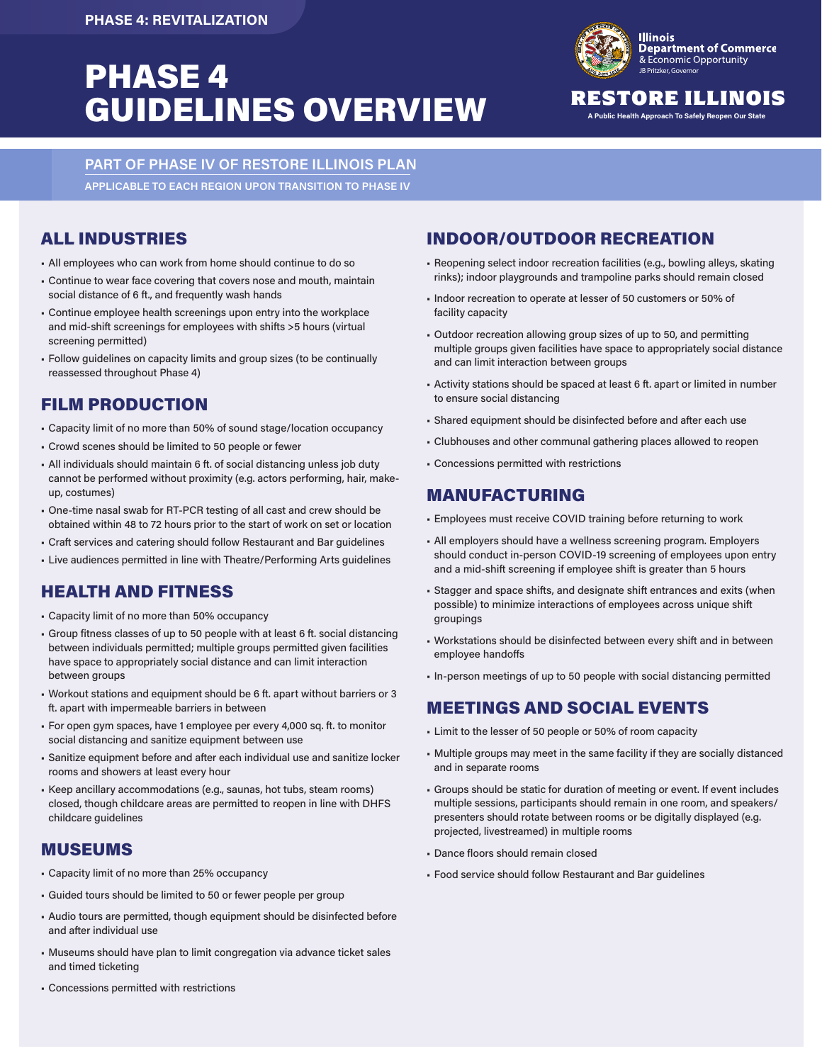# **PHASE 4 PHASE 4** GUIDELINES OVERVIEW RESTORE ILLINOI



### RESTORE ILLINOIS

**PART OF PHASE IV OF RESTORE ILLINOIS PLAN APPLICABLE TO EACH REGION UPON TRANSITION TO PHASE IV** 

#### ALL INDUSTRIES

- All employees who can work from home should continue to do so
- Continue to wear face covering that covers nose and mouth, maintain social distance of 6 ft., and frequently wash hands
- Continue employee health screenings upon entry into the workplace and mid-shift screenings for employees with shifts >5 hours (virtual screening permitted)
- Follow guidelines on capacity limits and group sizes (to be continually reassessed throughout Phase 4)

## FILM PRODUCTION

- Capacity limit of no more than 50% of sound stage/location occupancy
- Crowd scenes should be limited to 50 people or fewer
- All individuals should maintain 6 ft. of social distancing unless job duty cannot be performed without proximity (e.g. actors performing, hair, makeup, costumes)
- One-time nasal swab for RT-PCR testing of all cast and crew should be obtained within 48 to 72 hours prior to the start of work on set or location
- Craft services and catering should follow Restaurant and Bar guidelines
- Live audiences permitted in line with Theatre/Performing Arts guidelines

## HEALTH AND FITNESS

- Capacity limit of no more than 50% occupancy
- Group fitness classes of up to 50 people with at least 6 ft. social distancing between individuals permitted; multiple groups permitted given facilities have space to appropriately social distance and can limit interaction between groups
- Workout stations and equipment should be 6 ft. apart without barriers or 3 ft. apart with impermeable barriers in between
- For open gym spaces, have 1 employee per every 4,000 sq. ft. to monitor social distancing and sanitize equipment between use
- Sanitize equipment before and after each individual use and sanitize locker rooms and showers at least every hour
- Keep ancillary accommodations (e.g., saunas, hot tubs, steam rooms) closed, though childcare areas are permitted to reopen in line with DHFS childcare guidelines

#### MUSEUMS

- Capacity limit of no more than 25% occupancy
- Guided tours should be limited to 50 or fewer people per group
- Audio tours are permitted, though equipment should be disinfected before and after individual use
- Museums should have plan to limit congregation via advance ticket sales and timed ticketing

# INDOOR/OUTDOOR RECREATION

- Reopening select indoor recreation facilities (e.g., bowling alleys, skating rinks); indoor playgrounds and trampoline parks should remain closed
- Indoor recreation to operate at lesser of 50 customers or 50% of facility capacity
- Outdoor recreation allowing group sizes of up to 50, and permitting multiple groups given facilities have space to appropriately social distance and can limit interaction between groups
- Activity stations should be spaced at least 6 ft. apart or limited in number to ensure social distancing
- Shared equipment should be disinfected before and after each use
- Clubhouses and other communal gathering places allowed to reopen
- Concessions permitted with restrictions

#### MANUFACTURING

- Employees must receive COVID training before returning to work
- All employers should have a wellness screening program. Employers should conduct in-person COVID-19 screening of employees upon entry and a mid-shift screening if employee shift is greater than 5 hours
- Stagger and space shifts, and designate shift entrances and exits (when possible) to minimize interactions of employees across unique shift groupings
- Workstations should be disinfected between every shift and in between employee handoffs
- In-person meetings of up to 50 people with social distancing permitted

#### MEETINGS AND SOCIAL EVENTS

- Limit to the lesser of 50 people or 50% of room capacity
- Multiple groups may meet in the same facility if they are socially distanced and in separate rooms
- Groups should be static for duration of meeting or event. If event includes multiple sessions, participants should remain in one room, and speakers/ presenters should rotate between rooms or be digitally displayed (e.g. projected, livestreamed) in multiple rooms
- Dance floors should remain closed
- Food service should follow Restaurant and Bar guidelines

• Concessions permitted with restrictions